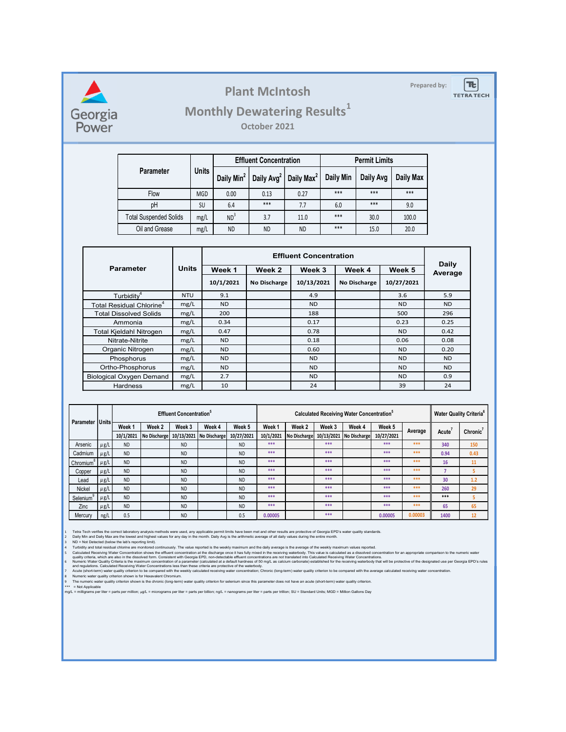### Plant McIntosh **Prepared by:**

## Monthly Dewatering Results<sup>1</sup>

|                               |              |       |                               | <b>Plant McIntosh</b>                         |                               |           |                      |                   | Prepared by:            | $\left[ \boldsymbol{\pi} \right]$<br><b>TETRA TECH</b> |
|-------------------------------|--------------|-------|-------------------------------|-----------------------------------------------|-------------------------------|-----------|----------------------|-------------------|-------------------------|--------------------------------------------------------|
|                               |              |       |                               | <b>Monthly Dewatering Results1</b>            |                               |           |                      |                   |                         |                                                        |
|                               |              |       |                               | October 2021                                  |                               |           |                      |                   |                         |                                                        |
|                               |              |       |                               |                                               |                               |           |                      |                   |                         |                                                        |
|                               |              |       | <b>Effluent Concentration</b> |                                               |                               |           | <b>Permit Limits</b> |                   |                         |                                                        |
| Parameter                     |              | Units | Daily Min <sup>2</sup>        | Daily Avg <sup>2</sup> Daily Max <sup>2</sup> |                               | Daily Min | Daily Avg            | Daily Max         |                         |                                                        |
| Flow                          |              | MGD   | $0.00\,$                      | 0.13                                          | 0.27                          | ***       | $***$                | ***               |                         |                                                        |
| pH                            |              | SU    | 6.4                           | $***$                                         | 7.7                           | 6.0       | $***$                | 9.0               |                         |                                                        |
| <b>Total Suspended Solids</b> |              | mg/L  | ND <sup>3</sup>               | 3.7                                           | 11.0                          | ***       | 30.0                 | 100.0             |                         |                                                        |
| Oil and Grease                |              | mg/L  | <b>ND</b>                     | <b>ND</b>                                     | <b>ND</b>                     | $***$     | 15.0                 | 20.0              |                         |                                                        |
|                               |              |       |                               |                                               |                               |           |                      |                   |                         |                                                        |
|                               |              |       |                               |                                               |                               |           |                      |                   |                         |                                                        |
|                               |              |       |                               |                                               | <b>Effluent Concentration</b> |           |                      |                   |                         |                                                        |
| arameter                      | <b>Units</b> |       | Week 1                        | Week 2                                        | Week 3                        |           | Week 4               | Week 5            | <b>Daily</b><br>Average |                                                        |
| $\mathsf{F}$ urbiditv $^4$    | <b>NTU</b>   |       | 10/1/2021<br>9.1              | <b>No Discharge</b>                           | 10/13/2021<br>4.9             |           | No Discharge         | 10/27/2021<br>3.6 | 5.9                     |                                                        |

|                    |                                          |                                                      |                                                                                                                                                                                           |                        |                                                      |                               |                        | <b>Plant McIntosh</b>         |                                                                                                                                                                      |                                                                                                                                                                                                                                                                                                                                                                                                                                                                                                                                                                                                                                                                                                                                                                                                                                                                                                                                                                                                                                                                                                                                                                                                                                                                                                                                                                                                                                                                                               |                      |                      | Prepared by:           |                    | <b>Tt</b><br><b>TETRA TECH</b>            |
|--------------------|------------------------------------------|------------------------------------------------------|-------------------------------------------------------------------------------------------------------------------------------------------------------------------------------------------|------------------------|------------------------------------------------------|-------------------------------|------------------------|-------------------------------|----------------------------------------------------------------------------------------------------------------------------------------------------------------------|-----------------------------------------------------------------------------------------------------------------------------------------------------------------------------------------------------------------------------------------------------------------------------------------------------------------------------------------------------------------------------------------------------------------------------------------------------------------------------------------------------------------------------------------------------------------------------------------------------------------------------------------------------------------------------------------------------------------------------------------------------------------------------------------------------------------------------------------------------------------------------------------------------------------------------------------------------------------------------------------------------------------------------------------------------------------------------------------------------------------------------------------------------------------------------------------------------------------------------------------------------------------------------------------------------------------------------------------------------------------------------------------------------------------------------------------------------------------------------------------------|----------------------|----------------------|------------------------|--------------------|-------------------------------------------|
|                    | Georgia<br>Power                         |                                                      |                                                                                                                                                                                           |                        |                                                      |                               |                        | October 2021                  |                                                                                                                                                                      | <b>Monthly Dewatering Results</b> <sup>1</sup>                                                                                                                                                                                                                                                                                                                                                                                                                                                                                                                                                                                                                                                                                                                                                                                                                                                                                                                                                                                                                                                                                                                                                                                                                                                                                                                                                                                                                                                |                      |                      |                        |                    |                                           |
|                    |                                          |                                                      |                                                                                                                                                                                           |                        |                                                      |                               |                        | <b>Effluent Concentration</b> |                                                                                                                                                                      |                                                                                                                                                                                                                                                                                                                                                                                                                                                                                                                                                                                                                                                                                                                                                                                                                                                                                                                                                                                                                                                                                                                                                                                                                                                                                                                                                                                                                                                                                               | <b>Permit Limits</b> |                      |                        |                    |                                           |
|                    |                                          |                                                      | <b>Parameter</b>                                                                                                                                                                          |                        | <b>Units</b>                                         |                               |                        |                               | Daily Min <sup>2</sup>   Daily Avg <sup>2</sup>   Daily Max <sup>2</sup>                                                                                             | Daily Min                                                                                                                                                                                                                                                                                                                                                                                                                                                                                                                                                                                                                                                                                                                                                                                                                                                                                                                                                                                                                                                                                                                                                                                                                                                                                                                                                                                                                                                                                     |                      | Daily Avg            | <b>Daily Max</b>       |                    |                                           |
|                    |                                          |                                                      | Flow                                                                                                                                                                                      |                        | <b>MGD</b>                                           | 0.00                          |                        | 0.13                          | 0.27                                                                                                                                                                 | ***                                                                                                                                                                                                                                                                                                                                                                                                                                                                                                                                                                                                                                                                                                                                                                                                                                                                                                                                                                                                                                                                                                                                                                                                                                                                                                                                                                                                                                                                                           | $***$                |                      | ***                    |                    |                                           |
|                    |                                          |                                                      | pH                                                                                                                                                                                        |                        | <b>SU</b>                                            | 6.4                           |                        | ***                           | 7.7                                                                                                                                                                  | 6.0                                                                                                                                                                                                                                                                                                                                                                                                                                                                                                                                                                                                                                                                                                                                                                                                                                                                                                                                                                                                                                                                                                                                                                                                                                                                                                                                                                                                                                                                                           | $***$                |                      | 9.0                    |                    |                                           |
|                    |                                          |                                                      | <b>Total Suspended Solids</b>                                                                                                                                                             |                        | mg/L                                                 | ND <sup>3</sup>               |                        | 3.7                           | 11.0                                                                                                                                                                 | $***$                                                                                                                                                                                                                                                                                                                                                                                                                                                                                                                                                                                                                                                                                                                                                                                                                                                                                                                                                                                                                                                                                                                                                                                                                                                                                                                                                                                                                                                                                         | 30.0                 |                      | 100.0                  |                    |                                           |
|                    |                                          |                                                      | Oil and Grease                                                                                                                                                                            |                        | mg/L                                                 | <b>ND</b>                     |                        | <b>ND</b>                     | <b>ND</b>                                                                                                                                                            | ***                                                                                                                                                                                                                                                                                                                                                                                                                                                                                                                                                                                                                                                                                                                                                                                                                                                                                                                                                                                                                                                                                                                                                                                                                                                                                                                                                                                                                                                                                           |                      | 15.0                 | 20.0                   |                    |                                           |
|                    |                                          |                                                      |                                                                                                                                                                                           |                        |                                                      |                               |                        |                               |                                                                                                                                                                      |                                                                                                                                                                                                                                                                                                                                                                                                                                                                                                                                                                                                                                                                                                                                                                                                                                                                                                                                                                                                                                                                                                                                                                                                                                                                                                                                                                                                                                                                                               |                      |                      |                        |                    |                                           |
|                    |                                          |                                                      |                                                                                                                                                                                           |                        |                                                      | <b>Effluent Concentration</b> |                        |                               |                                                                                                                                                                      |                                                                                                                                                                                                                                                                                                                                                                                                                                                                                                                                                                                                                                                                                                                                                                                                                                                                                                                                                                                                                                                                                                                                                                                                                                                                                                                                                                                                                                                                                               |                      |                      |                        |                    |                                           |
|                    |                                          | <b>Parameter</b>                                     |                                                                                                                                                                                           | <b>Units</b>           |                                                      | Week 1                        |                        | Week 2                        | Week 3                                                                                                                                                               |                                                                                                                                                                                                                                                                                                                                                                                                                                                                                                                                                                                                                                                                                                                                                                                                                                                                                                                                                                                                                                                                                                                                                                                                                                                                                                                                                                                                                                                                                               | Week 4               |                      | Week 5                 | Daily<br>Average   |                                           |
|                    |                                          |                                                      |                                                                                                                                                                                           |                        |                                                      | 10/1/2021                     |                        | <b>No Discharge</b>           | 10/13/2021                                                                                                                                                           |                                                                                                                                                                                                                                                                                                                                                                                                                                                                                                                                                                                                                                                                                                                                                                                                                                                                                                                                                                                                                                                                                                                                                                                                                                                                                                                                                                                                                                                                                               | No Discharge         |                      | 10/27/2021             |                    |                                           |
|                    |                                          | Turbidity <sup>4</sup>                               |                                                                                                                                                                                           | <b>NTU</b>             |                                                      | 9.1                           |                        |                               | 4.9                                                                                                                                                                  |                                                                                                                                                                                                                                                                                                                                                                                                                                                                                                                                                                                                                                                                                                                                                                                                                                                                                                                                                                                                                                                                                                                                                                                                                                                                                                                                                                                                                                                                                               |                      |                      | 3.6                    | 5.9                |                                           |
|                    |                                          | Total Residual Chlorine <sup>4</sup>                 |                                                                                                                                                                                           | mg/L                   |                                                      | <b>ND</b><br>200              |                        |                               | <b>ND</b>                                                                                                                                                            |                                                                                                                                                                                                                                                                                                                                                                                                                                                                                                                                                                                                                                                                                                                                                                                                                                                                                                                                                                                                                                                                                                                                                                                                                                                                                                                                                                                                                                                                                               |                      |                      | <b>ND</b>              | <b>ND</b>          |                                           |
|                    | <b>Total Dissolved Solids</b><br>Ammonia |                                                      |                                                                                                                                                                                           |                        | mg/L<br>mg/L                                         |                               |                        |                               | 188<br>0.17                                                                                                                                                          |                                                                                                                                                                                                                                                                                                                                                                                                                                                                                                                                                                                                                                                                                                                                                                                                                                                                                                                                                                                                                                                                                                                                                                                                                                                                                                                                                                                                                                                                                               |                      |                      | 500<br>0.23            | 296<br>0.25        |                                           |
|                    |                                          | Total Kjeldahl Nitrogen                              |                                                                                                                                                                                           |                        | mg/L                                                 |                               | 0.34<br>0.47           |                               | 0.78                                                                                                                                                                 |                                                                                                                                                                                                                                                                                                                                                                                                                                                                                                                                                                                                                                                                                                                                                                                                                                                                                                                                                                                                                                                                                                                                                                                                                                                                                                                                                                                                                                                                                               |                      |                      | <b>ND</b>              |                    |                                           |
|                    |                                          | Nitrate-Nitrite                                      |                                                                                                                                                                                           | mg/L                   |                                                      | <b>ND</b>                     |                        |                               | 0.18                                                                                                                                                                 |                                                                                                                                                                                                                                                                                                                                                                                                                                                                                                                                                                                                                                                                                                                                                                                                                                                                                                                                                                                                                                                                                                                                                                                                                                                                                                                                                                                                                                                                                               |                      |                      | 0.06                   | 0.08               |                                           |
|                    |                                          | Organic Nitrogen                                     |                                                                                                                                                                                           | mg/L                   |                                                      | <b>ND</b><br><b>ND</b>        |                        |                               | 0.60<br><b>ND</b>                                                                                                                                                    |                                                                                                                                                                                                                                                                                                                                                                                                                                                                                                                                                                                                                                                                                                                                                                                                                                                                                                                                                                                                                                                                                                                                                                                                                                                                                                                                                                                                                                                                                               |                      |                      | <b>ND</b>              | 0.20<br><b>ND</b>  |                                           |
|                    |                                          | Phosphorus<br>Ortho-Phosphorus                       |                                                                                                                                                                                           | mg/L<br>mg/L           |                                                      | <b>ND</b>                     |                        |                               | <b>ND</b>                                                                                                                                                            |                                                                                                                                                                                                                                                                                                                                                                                                                                                                                                                                                                                                                                                                                                                                                                                                                                                                                                                                                                                                                                                                                                                                                                                                                                                                                                                                                                                                                                                                                               |                      |                      | <b>ND</b><br><b>ND</b> | <b>ND</b>          |                                           |
|                    |                                          |                                                      | <b>Biological Oxygen Demand</b>                                                                                                                                                           | mg/L                   |                                                      | 2.7                           |                        |                               | <b>ND</b>                                                                                                                                                            |                                                                                                                                                                                                                                                                                                                                                                                                                                                                                                                                                                                                                                                                                                                                                                                                                                                                                                                                                                                                                                                                                                                                                                                                                                                                                                                                                                                                                                                                                               |                      |                      | <b>ND</b>              | 0.9                |                                           |
|                    |                                          | <b>Hardness</b>                                      |                                                                                                                                                                                           | mg/L                   |                                                      | 10                            |                        |                               | 24                                                                                                                                                                   |                                                                                                                                                                                                                                                                                                                                                                                                                                                                                                                                                                                                                                                                                                                                                                                                                                                                                                                                                                                                                                                                                                                                                                                                                                                                                                                                                                                                                                                                                               |                      |                      | 39                     | 24                 |                                           |
|                    |                                          |                                                      |                                                                                                                                                                                           |                        |                                                      |                               |                        |                               |                                                                                                                                                                      |                                                                                                                                                                                                                                                                                                                                                                                                                                                                                                                                                                                                                                                                                                                                                                                                                                                                                                                                                                                                                                                                                                                                                                                                                                                                                                                                                                                                                                                                                               |                      |                      |                        |                    |                                           |
|                    | Parameter Units                          | Week 1                                               |                                                                                                                                                                                           |                        | <b>Effluent Concentration</b> <sup>5</sup><br>Week 4 |                               |                        | Week 1                        |                                                                                                                                                                      | Calculated Receiving Water Concentration <sup>5</sup>                                                                                                                                                                                                                                                                                                                                                                                                                                                                                                                                                                                                                                                                                                                                                                                                                                                                                                                                                                                                                                                                                                                                                                                                                                                                                                                                                                                                                                         |                      |                      |                        |                    | <b>Water Quality Criteria<sup>6</sup></b> |
|                    |                                          | 10/1/2021                                            | Week 2<br>No Discharge 10/13/2021 No Discharge                                                                                                                                            | Week 3                 |                                                      |                               | Week 5<br>10/27/2021   | 10/1/2021                     | Week 2                                                                                                                                                               | Week 3<br>No Discharge 10/13/2021 No Discharge                                                                                                                                                                                                                                                                                                                                                                                                                                                                                                                                                                                                                                                                                                                                                                                                                                                                                                                                                                                                                                                                                                                                                                                                                                                                                                                                                                                                                                                | Week 4               | Week 5<br>10/27/2021 | Average                | Acute <sup>7</sup> | Chronic <sup>7</sup>                      |
| Arsenic<br>Cadmium | $\mu$ g/L                                | <b>ND</b><br><b>ND</b>                               |                                                                                                                                                                                           | <b>ND</b><br><b>ND</b> |                                                      |                               | <b>ND</b><br><b>ND</b> | $***$<br>$***$                |                                                                                                                                                                      | ***<br>***                                                                                                                                                                                                                                                                                                                                                                                                                                                                                                                                                                                                                                                                                                                                                                                                                                                                                                                                                                                                                                                                                                                                                                                                                                                                                                                                                                                                                                                                                    |                      | $***$<br>$***$       | ***<br>***             | 340<br>0.94        | 150                                       |
| Chromium           | $\mu$ g/L<br>$\mu$ g/L                   | <b>ND</b>                                            |                                                                                                                                                                                           | <b>ND</b>              |                                                      |                               | <b>ND</b>              | ***                           |                                                                                                                                                                      | ***                                                                                                                                                                                                                                                                                                                                                                                                                                                                                                                                                                                                                                                                                                                                                                                                                                                                                                                                                                                                                                                                                                                                                                                                                                                                                                                                                                                                                                                                                           |                      | ***                  | ***                    | 16                 | 0.43<br>11                                |
| Copper             | $\mu$ g/L                                | <b>ND</b>                                            |                                                                                                                                                                                           | <b>ND</b>              |                                                      |                               | <b>ND</b>              | ***                           |                                                                                                                                                                      | ***                                                                                                                                                                                                                                                                                                                                                                                                                                                                                                                                                                                                                                                                                                                                                                                                                                                                                                                                                                                                                                                                                                                                                                                                                                                                                                                                                                                                                                                                                           |                      | ***                  | ***                    | $\overline{7}$     | -5                                        |
| Lead               | $\mu$ g/L                                | <b>ND</b>                                            |                                                                                                                                                                                           | <b>ND</b>              |                                                      |                               | <b>ND</b>              | $***$<br>***                  |                                                                                                                                                                      | ***<br>***                                                                                                                                                                                                                                                                                                                                                                                                                                                                                                                                                                                                                                                                                                                                                                                                                                                                                                                                                                                                                                                                                                                                                                                                                                                                                                                                                                                                                                                                                    |                      | ***<br>***           | ***<br>***             | 30                 | 1.2                                       |
| Nickel<br>Selenium | $\mu$ g/L<br>$\mu$ g/L                   | <b>ND</b><br><b>ND</b>                               |                                                                                                                                                                                           | <b>ND</b><br><b>ND</b> |                                                      |                               | <b>ND</b><br><b>ND</b> | ***                           |                                                                                                                                                                      | ***                                                                                                                                                                                                                                                                                                                                                                                                                                                                                                                                                                                                                                                                                                                                                                                                                                                                                                                                                                                                                                                                                                                                                                                                                                                                                                                                                                                                                                                                                           |                      | ***                  | ***                    | 260<br>***         | 29<br>5                                   |
| Zinc               | $\mu$ g/L                                | <b>ND</b>                                            |                                                                                                                                                                                           | <b>ND</b>              |                                                      |                               | <b>ND</b>              | ***                           |                                                                                                                                                                      | ***                                                                                                                                                                                                                                                                                                                                                                                                                                                                                                                                                                                                                                                                                                                                                                                                                                                                                                                                                                                                                                                                                                                                                                                                                                                                                                                                                                                                                                                                                           |                      | ***                  | ***                    | 65                 | 65                                        |
| Mercury            | ng/L                                     | 0.5                                                  |                                                                                                                                                                                           | <b>ND</b>              |                                                      |                               | 0.5                    | 0.00005                       |                                                                                                                                                                      | ***                                                                                                                                                                                                                                                                                                                                                                                                                                                                                                                                                                                                                                                                                                                                                                                                                                                                                                                                                                                                                                                                                                                                                                                                                                                                                                                                                                                                                                                                                           |                      | 0.00005              | 0.00003                | 1400               | 12                                        |
|                    |                                          | ND = Not Detected (below the lab's reporting limit). | and regulations. Calculated Receiving Water Concentrations less than these criteria are protective of the waterbody.<br>Numeric water quality criterion shown is for Hexavalent Chromium. |                        |                                                      |                               |                        |                               | Daily Min and Daily Max are the lowest and highest values for any day in the month. Daily Avg is the arithmetic average of all daily values during the entire month. | Tetra Tech verifies the correct laboratory analysis methods were used, any applicable permit limits have been met and other results are protective of Georgia EPD's water quality standards.<br>Turbidity and total residual chlorine are monitored continuously. The value reported is the weekly maximum and the daily average is the average of the weekly maximum values reported.<br>Calculated Receiving Water Concentration shows the effluent concentration at the discharge once it has fully mixed in the receiving waterbody. This value is calculated as a dissolved concentration for an appropriate compar<br>quality criteria, which are also in the dissolved form. Consistent with Georgia EPD, non-detectable effluent concentrations are not translated into Calculated Receiving Water Concentrations.<br>Numeric Water Quality Criteria is the maximum concentration of a parameter (calculated at a default hardness of 50 mg/L as calcium carbonate) established for the receiving waterbody that will be protective of the designate<br>Acute (short-term) water quality criterion to be compared with the weekly calculated receiving water concentration; Chronic (long-term) water quality criterion to be compared with the average calculated receiving water con<br>The numeric water quality criterion shown is the chronic (long-term) water quality criterion for selenium since this parameter does not have an acute (short-term) water quality criterion. |                      |                      |                        |                    |                                           |

|                       | <b>Parameter Units-</b> |           |                                      | <b>Effluent Concentration</b> <sup>5</sup> |        |            | Calculated Receiving Water Concentration <sup>5</sup> |                                                               |        |        |         |         |                    | <b>Water Quality Criteria<sup>6</sup></b> |  |
|-----------------------|-------------------------|-----------|--------------------------------------|--------------------------------------------|--------|------------|-------------------------------------------------------|---------------------------------------------------------------|--------|--------|---------|---------|--------------------|-------------------------------------------|--|
|                       |                         | Week 1    | Week 2                               | Week 3                                     | Week 4 | Week 5     | Week 1                                                | Week 2                                                        | Week 3 | Week 4 | Week 5  | Average | Acute <sup>'</sup> | Chronic <sup>7</sup>                      |  |
|                       |                         | 10/1/2021 | No Discharge 10/13/2021 No Discharge |                                            |        | 10/27/2021 |                                                       | 10/1/2021   No Discharge 10/13/2021   No Discharge 10/27/2021 |        |        |         |         |                    |                                           |  |
| Arsenic               | $\mu$ g/L               | <b>ND</b> |                                      | <b>ND</b>                                  |        | <b>ND</b>  | ***                                                   |                                                               | ***    |        | ***     | ***     | 340                | 150                                       |  |
| Cadmium               | $\mu$ g/L               | <b>ND</b> |                                      | <b>ND</b>                                  |        | <b>ND</b>  | ***                                                   |                                                               | ***    |        | ***     | ***     | 0.94               | 0.43                                      |  |
| Chromium <sup>o</sup> | $\mu$ g/L               | <b>ND</b> |                                      | <b>ND</b>                                  |        | <b>ND</b>  | ***                                                   |                                                               | ***    |        | ***     | ***     | 16                 | 11                                        |  |
| Copper                | $\mu$ g/L               | <b>ND</b> |                                      | <b>ND</b>                                  |        | <b>ND</b>  | ***                                                   |                                                               | ***    |        | ***     | ***     |                    |                                           |  |
| Lead                  | $\mu$ g/L               | <b>ND</b> |                                      | <b>ND</b>                                  |        | <b>ND</b>  | ***                                                   |                                                               | ***    |        | ***     | ***     | 30                 | 1.2                                       |  |
| Nickel                | $\mu$ g/L               | <b>ND</b> |                                      | <b>ND</b>                                  |        | <b>ND</b>  | ***                                                   |                                                               | ***    |        | ***     | ***     | 260                | 29                                        |  |
| Selenium <sup>9</sup> | $\mu$ g/L               | <b>ND</b> |                                      | <b>ND</b>                                  |        | <b>ND</b>  | ***                                                   |                                                               | ***    |        | ***     | ***     | ***                |                                           |  |
| Zinc                  | $\mu$ g/L               | <b>ND</b> |                                      | <b>ND</b>                                  |        | <b>ND</b>  | ***                                                   |                                                               | ***    |        | ***     | ***     | 65                 | 65                                        |  |
| Mercury               | ng/L                    | 0.5       |                                      | <b>ND</b>                                  |        | 0.5        | 0.00005                                               |                                                               | ***    |        | 0.00005 | 0.00003 | 1400               | 12                                        |  |

1 Tetra Tech werifies the correct laboratory analysis methods were used, any applicable permit limits have been met and other results are protective of Georgia EPDs water quality standards.<br>2 Daily Min and Daily Max are th 1 Tetra Tech verifies the correct laboratory analysis methods were used, any applicable permit limits have been met and other results are prodecive of Georgia EPD's rules<br>2 Daily Min and Daily Max are the lowest and highes